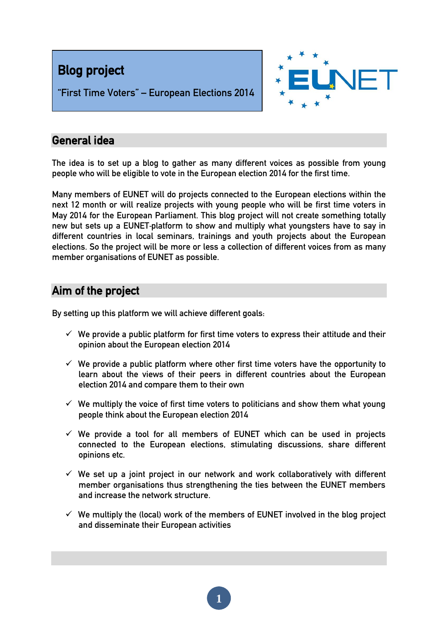



"First Time Voters" – European Elections 2014

### General idea

The idea is to set up a blog to gather as many different voices as possible from young people who will be eligible to vote in the European election 2014 for the first time.

Many members of EUNET will do projects connected to the European elections within the next 12 month or will realize projects with young people who will be first time voters in May 2014 for the European Parliament. This blog project will not create something totally new but sets up a EUNET‐platform to show and multiply what youngsters have to say in different countries in local seminars, trainings and youth projects about the European elections. So the project will be more or less a collection of different voices from as many member organisations of EUNET as possible.

# Aim of the project

By setting up this platform we will achieve different goals:

- $\checkmark$  We provide a public platform for first time voters to express their attitude and their opinion about the European election 2014
- $\checkmark$  We provide a public platform where other first time voters have the opportunity to learn about the views of their peers in different countries about the European election 2014 and compare them to their own
- $\checkmark$  We multiply the voice of first time voters to politicians and show them what young people think about the European election 2014
- $\checkmark$  We provide a tool for all members of EUNET which can be used in projects connected to the European elections, stimulating discussions, share different opinions etc.
- $\checkmark$  We set up a joint project in our network and work collaboratively with different member organisations thus strengthening the ties between the EUNET members and increase the network structure.
- $\checkmark$  We multiply the (local) work of the members of EUNET involved in the blog project and disseminate their European activities

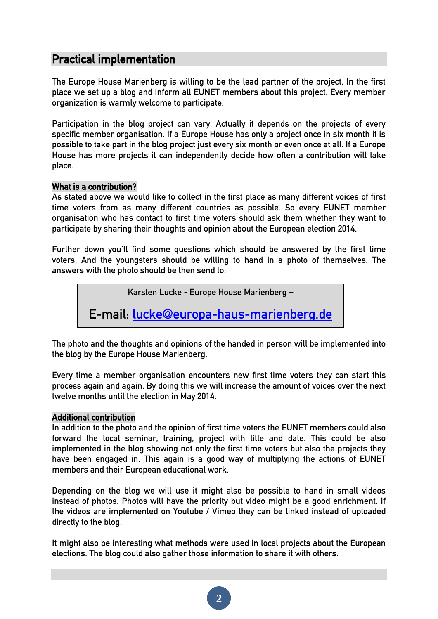# Practical implementation

The Europe House Marienberg is willing to be the lead partner of the project. In the first place we set up a blog and inform all EUNET members about this project. Every member organization is warmly welcome to participate.

Participation in the blog project can vary. Actually it depends on the projects of every specific member organisation. If a Europe House has only a project once in six month it is possible to take part in the blog project just every six month or even once at all. If a Europe House has more projects it can independently decide how often a contribution will take place.

#### What is a contribution?

As stated above we would like to collect in the first place as many different voices of first time voters from as many different countries as possible. So every EUNET member organisation who has contact to first time voters should ask them whether they want to participate by sharing their thoughts and opinion about the European election 2014.

Further down you'll find some questions which should be answered by the first time voters. And the youngsters should be willing to hand in a photo of themselves. The answers with the photo should be then send to:

Karsten Lucke - Europe House Marienberg –

E-mail: [lucke@europa-haus-marienberg.de](mailto:lucke@europa-haus-marienberg.de)

The photo and the thoughts and opinions of the handed in person will be implemented into the blog by the Europe House Marienberg.

Every time a member organisation encounters new first time voters they can start this process again and again. By doing this we will increase the amount of voices over the next twelve months until the election in May 2014.

#### Additional contribution

In addition to the photo and the opinion of first time voters the EUNET members could also forward the local seminar, training, project with title and date. This could be also implemented in the blog showing not only the first time voters but also the projects they have been engaged in. This again is a good way of multiplying the actions of EUNET members and their European educational work.

Depending on the blog we will use it might also be possible to hand in small videos instead of photos. Photos will have the priority but video might be a good enrichment. If the videos are implemented on Youtube / Vimeo they can be linked instead of uploaded directly to the blog.

It might also be interesting what methods were used in local projects about the European elections. The blog could also gather those information to share it with others.